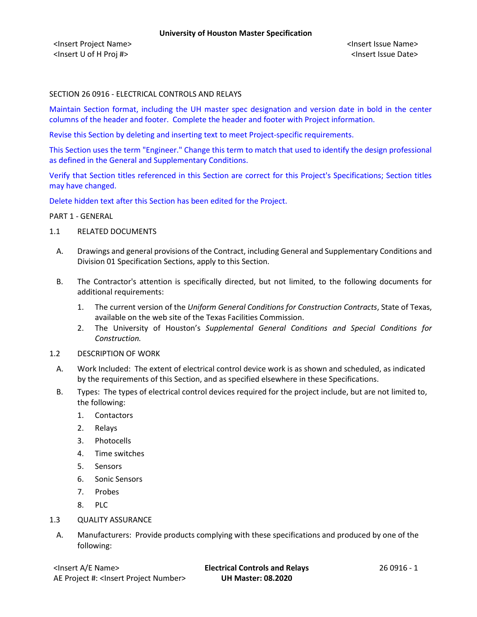### SECTION 26 0916 - ELECTRICAL CONTROLS AND RELAYS

Maintain Section format, including the UH master spec designation and version date in bold in the center columns of the header and footer. Complete the header and footer with Project information.

Revise this Section by deleting and inserting text to meet Project-specific requirements.

This Section uses the term "Engineer." Change this term to match that used to identify the design professional as defined in the General and Supplementary Conditions.

Verify that Section titles referenced in this Section are correct for this Project's Specifications; Section titles may have changed.

Delete hidden text after this Section has been edited for the Project.

PART 1 - GENERAL

- 1.1 RELATED DOCUMENTS
	- A. Drawings and general provisions of the Contract, including General and Supplementary Conditions and Division 01 Specification Sections, apply to this Section.
	- B. The Contractor's attention is specifically directed, but not limited, to the following documents for additional requirements:
		- 1. The current version of the *Uniform General Conditions for Construction Contracts*, State of Texas, available on the web site of the Texas Facilities Commission.
		- 2. The University of Houston's *Supplemental General Conditions and Special Conditions for Construction.*
- 1.2 DESCRIPTION OF WORK
	- A. Work Included: The extent of electrical control device work is as shown and scheduled, as indicated by the requirements of this Section, and as specified elsewhere in these Specifications.
	- B. Types: The types of electrical control devices required for the project include, but are not limited to, the following:
		- 1. Contactors
		- 2. Relays
		- 3. Photocells
		- 4. Time switches
		- 5. Sensors
		- 6. Sonic Sensors
		- 7. Probes
		- 8. PLC
- 1.3 QUALITY ASSURANCE
	- A. Manufacturers: Provide products complying with these specifications and produced by one of the following: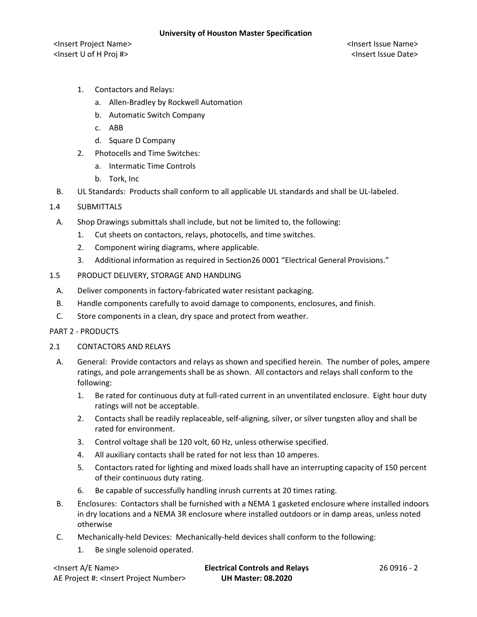- 1. Contactors and Relays:
	- a. Allen-Bradley by Rockwell Automation
	- b. Automatic Switch Company
	- c. ABB
	- d. Square D Company
- 2. Photocells and Time Switches:
	- a. Intermatic Time Controls
	- b. Tork, Inc
- B. UL Standards: Products shall conform to all applicable UL standards and shall be UL-labeled.
- 1.4 SUBMITTALS
	- A. Shop Drawings submittals shall include, but not be limited to, the following:
		- 1. Cut sheets on contactors, relays, photocells, and time switches.
		- 2. Component wiring diagrams, where applicable.
		- 3. Additional information as required in Section26 0001 "Electrical General Provisions."
- 1.5 PRODUCT DELIVERY, STORAGE AND HANDLING
	- A. Deliver components in factory-fabricated water resistant packaging.
	- B. Handle components carefully to avoid damage to components, enclosures, and finish.
	- C. Store components in a clean, dry space and protect from weather.

#### PART 2 - PRODUCTS

- 2.1 CONTACTORS AND RELAYS
	- A. General: Provide contactors and relays as shown and specified herein. The number of poles, ampere ratings, and pole arrangements shall be as shown. All contactors and relays shall conform to the following:
		- 1. Be rated for continuous duty at full-rated current in an unventilated enclosure. Eight hour duty ratings will not be acceptable.
		- 2. Contacts shall be readily replaceable, self-aligning, silver, or silver tungsten alloy and shall be rated for environment.
		- 3. Control voltage shall be 120 volt, 60 Hz, unless otherwise specified.
		- 4. All auxiliary contacts shall be rated for not less than 10 amperes.
		- 5. Contactors rated for lighting and mixed loads shall have an interrupting capacity of 150 percent of their continuous duty rating.
		- 6. Be capable of successfully handling inrush currents at 20 times rating.
	- B. Enclosures: Contactors shall be furnished with a NEMA 1 gasketed enclosure where installed indoors in dry locations and a NEMA 3R enclosure where installed outdoors or in damp areas, unless noted otherwise
	- C. Mechanically-held Devices: Mechanically-held devices shall conform to the following:
		- 1. Be single solenoid operated.

| <lnsert a="" e="" name=""></lnsert>                  | <b>Electrical Controls and Relays</b> | 26 0916 - 2 |
|------------------------------------------------------|---------------------------------------|-------------|
| AE Project #: <lnsert number="" project=""></lnsert> | <b>UH Master: 08.2020</b>             |             |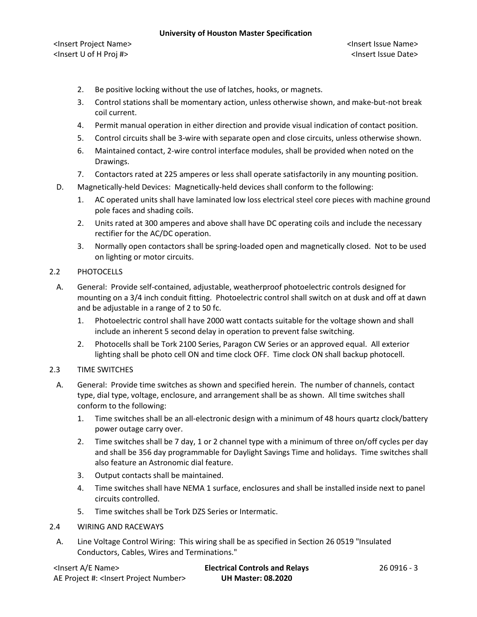#### **University of Houston Master Specification**

- 2. Be positive locking without the use of latches, hooks, or magnets.
- 3. Control stations shall be momentary action, unless otherwise shown, and make-but-not break coil current.
- 4. Permit manual operation in either direction and provide visual indication of contact position.
- 5. Control circuits shall be 3-wire with separate open and close circuits, unless otherwise shown.
- 6. Maintained contact, 2-wire control interface modules, shall be provided when noted on the Drawings.
- 7. Contactors rated at 225 amperes or less shall operate satisfactorily in any mounting position.
- D. Magnetically-held Devices: Magnetically-held devices shall conform to the following:
	- 1. AC operated units shall have laminated low loss electrical steel core pieces with machine ground pole faces and shading coils.
	- 2. Units rated at 300 amperes and above shall have DC operating coils and include the necessary rectifier for the AC/DC operation.
	- 3. Normally open contactors shall be spring-loaded open and magnetically closed. Not to be used on lighting or motor circuits.

# 2.2 PHOTOCELLS

- A. General: Provide self-contained, adjustable, weatherproof photoelectric controls designed for mounting on a 3/4 inch conduit fitting. Photoelectric control shall switch on at dusk and off at dawn and be adjustable in a range of 2 to 50 fc.
	- 1. Photoelectric control shall have 2000 watt contacts suitable for the voltage shown and shall include an inherent 5 second delay in operation to prevent false switching.
	- 2. Photocells shall be Tork 2100 Series, Paragon CW Series or an approved equal. All exterior lighting shall be photo cell ON and time clock OFF. Time clock ON shall backup photocell.

# 2.3 TIME SWITCHES

- A. General: Provide time switches as shown and specified herein. The number of channels, contact type, dial type, voltage, enclosure, and arrangement shall be as shown. All time switches shall conform to the following:
	- 1. Time switches shall be an all-electronic design with a minimum of 48 hours quartz clock/battery power outage carry over.
	- 2. Time switches shall be 7 day, 1 or 2 channel type with a minimum of three on/off cycles per day and shall be 356 day programmable for Daylight Savings Time and holidays. Time switches shall also feature an Astronomic dial feature.
	- 3. Output contacts shall be maintained.
	- 4. Time switches shall have NEMA 1 surface, enclosures and shall be installed inside next to panel circuits controlled.
	- 5. Time switches shall be Tork DZS Series or Intermatic.

# 2.4 WIRING AND RACEWAYS

A. Line Voltage Control Wiring: This wiring shall be as specified in Section 26 0519 "Insulated Conductors, Cables, Wires and Terminations."

| <lnsert a="" e="" name=""></lnsert>                  | <b>Electrical Controls and Relays</b> | 26 0916 - 3 |
|------------------------------------------------------|---------------------------------------|-------------|
| AE Project #: <lnsert number="" project=""></lnsert> | <b>UH Master: 08.2020</b>             |             |